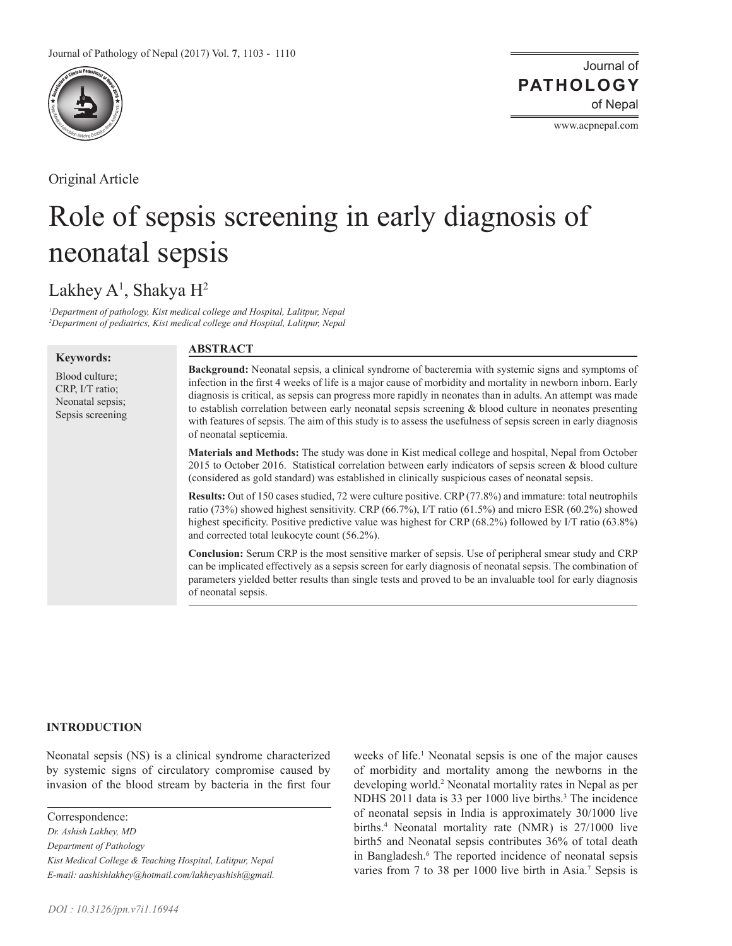

Original Article

Journal of of Nepal **PATHOLOGY**

www.acpnepal.com

# Role of sepsis screening in early diagnosis of neonatal sepsis

Lakhey A<sup>1</sup>, Shakya H<sup>2</sup>

*1 Department of pathology, Kist medical college and Hospital, Lalitpur, Nepal 2 Department of pediatrics, Kist medical college and Hospital, Lalitpur, Nepal*

#### **Keywords:**

Blood culture; CRP, I/T ratio; Neonatal sepsis; Sepsis screening

# **ABSTRACT**

**Background:** Neonatal sepsis, a clinical syndrome of bacteremia with systemic signs and symptoms of infection in the first 4 weeks of life is a major cause of morbidity and mortality in newborn inborn. Early diagnosis is critical, as sepsis can progress more rapidly in neonates than in adults. An attempt was made to establish correlation between early neonatal sepsis screening & blood culture in neonates presenting with features of sepsis. The aim of this study is to assess the usefulness of sepsis screen in early diagnosis of neonatal septicemia.

**Materials and Methods:** The study was done in Kist medical college and hospital, Nepal from October 2015 to October 2016. Statistical correlation between early indicators of sepsis screen & blood culture (considered as gold standard) was established in clinically suspicious cases of neonatal sepsis.

**Results:** Out of 150 cases studied, 72 were culture positive. CRP (77.8%) and immature: total neutrophils ratio (73%) showed highest sensitivity. CRP (66.7%), I/T ratio (61.5%) and micro ESR (60.2%) showed highest specificity. Positive predictive value was highest for CRP (68.2%) followed by I/T ratio (63.8%) and corrected total leukocyte count (56.2%).

**Conclusion:** Serum CRP is the most sensitive marker of sepsis. Use of peripheral smear study and CRP can be implicated effectively as a sepsis screen for early diagnosis of neonatal sepsis. The combination of parameters yielded better results than single tests and proved to be an invaluable tool for early diagnosis of neonatal sepsis.

# **INTRODUCTION**

Neonatal sepsis (NS) is a clinical syndrome characterized by systemic signs of circulatory compromise caused by invasion of the blood stream by bacteria in the first four

Correspondence: *Dr. Ashish Lakhey, MD Department of Pathology Kist Medical College & Teaching Hospital, Lalitpur, Nepal E-mail: aashishlakhey@hotmail.com/lakheyashish@gmail.*

weeks of life.<sup>1</sup> Neonatal sepsis is one of the major causes of morbidity and mortality among the newborns in the developing world.<sup>2</sup> Neonatal mortality rates in Nepal as per NDHS 2011 data is 33 per 1000 live births.<sup>3</sup> The incidence of neonatal sepsis in India is approximately 30/1000 live births.<sup>4</sup> Neonatal mortality rate (NMR) is 27/1000 live birth5 and Neonatal sepsis contributes 36% of total death in Bangladesh.<sup>6</sup> The reported incidence of neonatal sepsis varies from 7 to 38 per 1000 live birth in Asia.<sup>7</sup> Sepsis is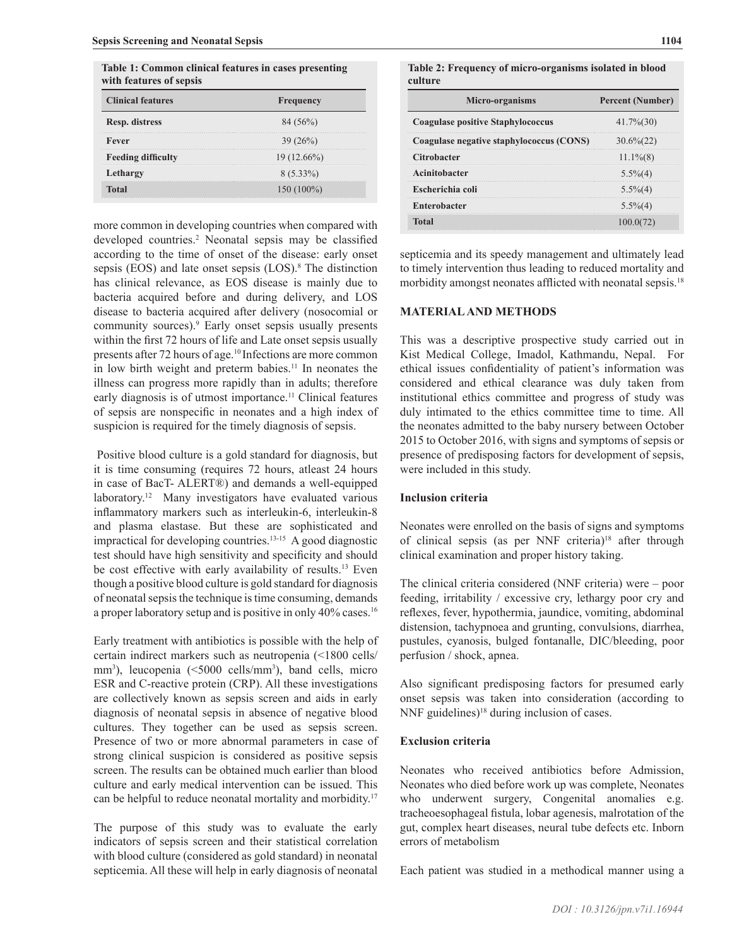| Table 1: Common clinical features in cases presenting |  |
|-------------------------------------------------------|--|
| with features of sepsis                               |  |

| <b>Clinical features</b>  | <b>Frequency</b> |
|---------------------------|------------------|
| Resp. distress            | 84 (56%)         |
| Fever                     | 39(26%)          |
| <b>Feeding difficulty</b> | $19(12.66\%)$    |
| Lethargy                  | $8(5.33\%)$      |
| Total                     | $150(100\%)$     |

more common in developing countries when compared with developed countries.<sup>2</sup> Neonatal sepsis may be classified according to the time of onset of the disease: early onset sepsis (EOS) and late onset sepsis (LOS).<sup>8</sup> The distinction has clinical relevance, as EOS disease is mainly due to bacteria acquired before and during delivery, and LOS disease to bacteria acquired after delivery (nosocomial or community sources).<sup>9</sup> Early onset sepsis usually presents within the first 72 hours of life and Late onset sepsis usually presents after 72 hours of age.<sup>10</sup> Infections are more common in low birth weight and preterm babies.<sup>11</sup> In neonates the illness can progress more rapidly than in adults; therefore early diagnosis is of utmost importance.<sup>11</sup> Clinical features of sepsis are nonspecific in neonates and a high index of suspicion is required for the timely diagnosis of sepsis.

 Positive blood culture is a gold standard for diagnosis, but it is time consuming (requires 72 hours, atleast 24 hours in case of BacT- ALERT®) and demands a well-equipped laboratory.12 Many investigators have evaluated various inflammatory markers such as interleukin-6, interleukin-8 and plasma elastase. But these are sophisticated and impractical for developing countries.13-15 A good diagnostic test should have high sensitivity and specificity and should be cost effective with early availability of results.<sup>13</sup> Even though a positive blood culture is gold standard for diagnosis of neonatal sepsis the technique is time consuming, demands a proper laboratory setup and is positive in only 40% cases.<sup>16</sup>

Early treatment with antibiotics is possible with the help of certain indirect markers such as neutropenia (<1800 cells/ mm<sup>3</sup>), leucopenia (<5000 cells/mm<sup>3</sup>), band cells, micro ESR and C-reactive protein (CRP). All these investigations are collectively known as sepsis screen and aids in early diagnosis of neonatal sepsis in absence of negative blood cultures. They together can be used as sepsis screen. Presence of two or more abnormal parameters in case of strong clinical suspicion is considered as positive sepsis screen. The results can be obtained much earlier than blood culture and early medical intervention can be issued. This can be helpful to reduce neonatal mortality and morbidity.17

The purpose of this study was to evaluate the early indicators of sepsis screen and their statistical correlation with blood culture (considered as gold standard) in neonatal septicemia. All these will help in early diagnosis of neonatal

**Table 2: Frequency of micro-organisms isolated in blood culture**

| Micro-organisms                          | <b>Percent (Number)</b> |
|------------------------------------------|-------------------------|
| Coagulase positive Staphylococcus        | $41.7\%$ $(30)$         |
| Coagulase negative staphylococcus (CONS) | $30.6\%$ (22)           |
| <b>Citrobacter</b>                       | $11.1\%$ $(8)$          |
| Acinitobacter                            | $5.5\%(4)$              |
| Escherichia coli                         | $5.5\%(4)$              |
| <b>Enterobacter</b>                      | $5.5\%(4)$              |
| <b>Total</b>                             | 100.00721               |

septicemia and its speedy management and ultimately lead to timely intervention thus leading to reduced mortality and morbidity amongst neonates afflicted with neonatal sepsis.<sup>18</sup>

#### **MATERIAL AND METHODS**

This was a descriptive prospective study carried out in Kist Medical College, Imadol, Kathmandu, Nepal. For ethical issues confidentiality of patient's information was considered and ethical clearance was duly taken from institutional ethics committee and progress of study was duly intimated to the ethics committee time to time. All the neonates admitted to the baby nursery between October 2015 to October 2016, with signs and symptoms of sepsis or presence of predisposing factors for development of sepsis, were included in this study.

#### **Inclusion criteria**

Neonates were enrolled on the basis of signs and symptoms of clinical sepsis (as per NNF criteria)18 after through clinical examination and proper history taking.

The clinical criteria considered (NNF criteria) were – poor feeding, irritability / excessive cry, lethargy poor cry and reflexes, fever, hypothermia, jaundice, vomiting, abdominal distension, tachypnoea and grunting, convulsions, diarrhea, pustules, cyanosis, bulged fontanalle, DIC/bleeding, poor perfusion / shock, apnea.

Also significant predisposing factors for presumed early onset sepsis was taken into consideration (according to NNF guidelines)<sup>18</sup> during inclusion of cases.

#### **Exclusion criteria**

Neonates who received antibiotics before Admission, Neonates who died before work up was complete, Neonates who underwent surgery, Congenital anomalies e.g. tracheoesophageal fistula, lobar agenesis, malrotation of the gut, complex heart diseases, neural tube defects etc. Inborn errors of metabolism

Each patient was studied in a methodical manner using a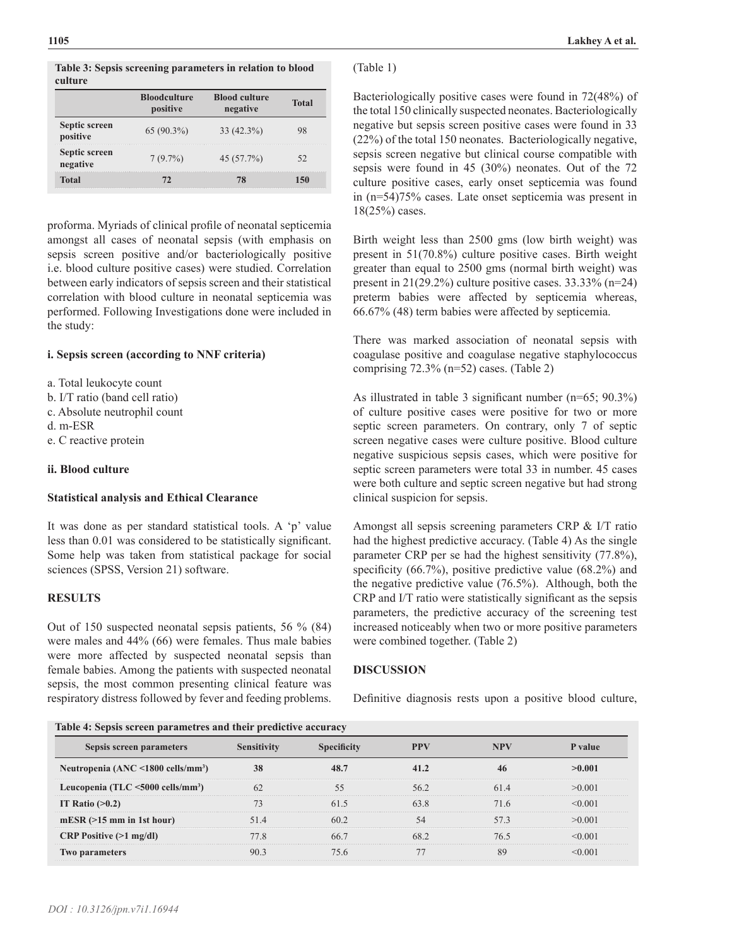**Table 3: Sepsis screening parameters in relation to blood culture**

|                           | <b>Bloodculture</b><br>positive | <b>Blood culture</b><br>negative | Total |
|---------------------------|---------------------------------|----------------------------------|-------|
| Septic screen<br>positive | $65(90.3\%)$                    | $33(42.3\%)$                     |       |
| Septic screen<br>negative | $7(9.7\%)$                      | 45 (57.7%)                       |       |
| <b>Total</b>              |                                 |                                  | 150   |

proforma. Myriads of clinical profile of neonatal septicemia amongst all cases of neonatal sepsis (with emphasis on sepsis screen positive and/or bacteriologically positive i.e. blood culture positive cases) were studied. Correlation between early indicators of sepsis screen and their statistical correlation with blood culture in neonatal septicemia was performed. Following Investigations done were included in the study:

# **i. Sepsis screen (according to NNF criteria)**

- a. Total leukocyte count
- b. I/T ratio (band cell ratio)
- c. Absolute neutrophil count
- d. m-ESR
- e. C reactive protein

### **ii. Blood culture**

#### **Statistical analysis and Ethical Clearance**

It was done as per standard statistical tools. A 'p' value less than 0.01 was considered to be statistically significant. Some help was taken from statistical package for social sciences (SPSS, Version 21) software.

# **RESULTS**

Out of 150 suspected neonatal sepsis patients, 56 % (84) were males and 44% (66) were females. Thus male babies were more affected by suspected neonatal sepsis than female babies. Among the patients with suspected neonatal sepsis, the most common presenting clinical feature was respiratory distress followed by fever and feeding problems.

# (Table 1)

Bacteriologically positive cases were found in 72(48%) of the total 150 clinically suspected neonates. Bacteriologically negative but sepsis screen positive cases were found in 33 (22%) of the total 150 neonates. Bacteriologically negative, sepsis screen negative but clinical course compatible with sepsis were found in 45 (30%) neonates. Out of the 72 culture positive cases, early onset septicemia was found in (n=54)75% cases. Late onset septicemia was present in 18(25%) cases.

Birth weight less than 2500 gms (low birth weight) was present in 51(70.8%) culture positive cases. Birth weight greater than equal to 2500 gms (normal birth weight) was present in 21(29.2%) culture positive cases. 33.33% (n=24) preterm babies were affected by septicemia whereas, 66.67% (48) term babies were affected by septicemia.

There was marked association of neonatal sepsis with coagulase positive and coagulase negative staphylococcus comprising 72.3% (n=52) cases. (Table 2)

As illustrated in table 3 significant number (n=65; 90.3%) of culture positive cases were positive for two or more septic screen parameters. On contrary, only 7 of septic screen negative cases were culture positive. Blood culture negative suspicious sepsis cases, which were positive for septic screen parameters were total 33 in number. 45 cases were both culture and septic screen negative but had strong clinical suspicion for sepsis.

Amongst all sepsis screening parameters CRP & I/T ratio had the highest predictive accuracy. (Table 4) As the single parameter CRP per se had the highest sensitivity (77.8%), specificity (66.7%), positive predictive value (68.2%) and the negative predictive value (76.5%). Although, both the CRP and I/T ratio were statistically significant as the sepsis parameters, the predictive accuracy of the screening test increased noticeably when two or more positive parameters were combined together. (Table 2)

# **DISCUSSION**

Definitive diagnosis rests upon a positive blood culture,

| Sepsis screen parameters                            | <b>Sensitivity</b> | <b>Specificity</b> | <b>PPV</b> | <b>NPV</b> | P value |
|-----------------------------------------------------|--------------------|--------------------|------------|------------|---------|
| Neutropenia $(ANC < 1800$ cells/mm <sup>3</sup> )   | 38                 | 48.7               | 41.2       | 46         | >0.001  |
| Leucopenia (TLC $\leq$ 5000 cells/mm <sup>3</sup> ) | 62                 | 55                 | 56.2       | 614        | >0.001  |
| IT Ratio $(>0.2)$                                   | 73                 | 61.5               | 63.8       | 71.6       | < 0.001 |
| $mESR (>15$ mm in 1st hour)                         | 51.4               | 60.2               | 54         | 573        | >0.001  |
| <b>CRP</b> Positive $(>1$ mg/dl)                    | 77.8               | 66.7               | 68.2       | 76.5       | < 0.001 |
| <b>Two parameters</b>                               | 90.3               | 75.6               | 77         | 89         | < 0.001 |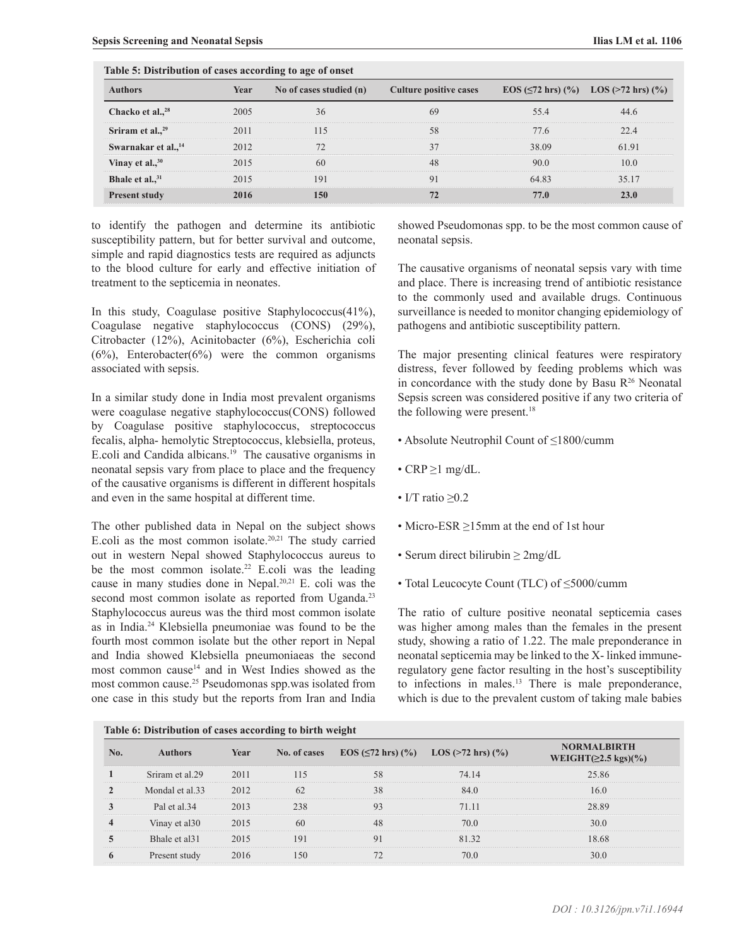| Table 5: Distribution of cases according to age of onset |      |                         |                               |       |                                            |  |  |
|----------------------------------------------------------|------|-------------------------|-------------------------------|-------|--------------------------------------------|--|--|
| <b>Authors</b>                                           | Year | No of cases studied (n) | <b>Culture positive cases</b> |       | EOS ( $\leq$ 72 hrs) (%) LOS (>72 hrs) (%) |  |  |
| Chacko et al., <sup>28</sup>                             | 2005 | 36                      | 69                            | 55.4  | 44.6                                       |  |  |
| Sriram et al., $29$                                      | 2011 | 115                     | 58                            | 77.6  | 22.4                                       |  |  |
| Swarnakar et al., <sup>14</sup>                          | 2012 |                         |                               | 38.09 | 61.91                                      |  |  |
| Vinay et al., <sup>30</sup>                              | 2015 | 60                      | 48                            | 90.0  | 10.0                                       |  |  |
| Bhale et al., 31                                         | 2015 | 191                     | 91                            | 64.83 | 35 17                                      |  |  |
| <b>Present study</b>                                     | 2016 | 150                     | 72                            | 77.0  | 23.0                                       |  |  |

to identify the pathogen and determine its antibiotic susceptibility pattern, but for better survival and outcome, simple and rapid diagnostics tests are required as adjuncts to the blood culture for early and effective initiation of treatment to the septicemia in neonates.

In this study, Coagulase positive Staphylococcus(41%), Coagulase negative staphylococcus (CONS) (29%), Citrobacter (12%), Acinitobacter (6%), Escherichia coli  $(6%)$ , Enterobacter $(6%)$  were the common organisms associated with sepsis.

In a similar study done in India most prevalent organisms were coagulase negative staphylococcus(CONS) followed by Coagulase positive staphylococcus, streptococcus fecalis, alpha- hemolytic Streptococcus, klebsiella, proteus, E.coli and Candida albicans.19 The causative organisms in neonatal sepsis vary from place to place and the frequency of the causative organisms is different in different hospitals and even in the same hospital at different time.

The other published data in Nepal on the subject shows E.coli as the most common isolate. $20,21$  The study carried out in western Nepal showed Staphylococcus aureus to be the most common isolate.<sup>22</sup> E.coli was the leading cause in many studies done in Nepal.20,21 E. coli was the second most common isolate as reported from Uganda.<sup>23</sup> Staphylococcus aureus was the third most common isolate as in India.<sup>24</sup> Klebsiella pneumoniae was found to be the fourth most common isolate but the other report in Nepal and India showed Klebsiella pneumoniaeas the second most common cause<sup>14</sup> and in West Indies showed as the most common cause.25 Pseudomonas spp.was isolated from one case in this study but the reports from Iran and India showed Pseudomonas spp. to be the most common cause of neonatal sepsis.

The causative organisms of neonatal sepsis vary with time and place. There is increasing trend of antibiotic resistance to the commonly used and available drugs. Continuous surveillance is needed to monitor changing epidemiology of pathogens and antibiotic susceptibility pattern.

The major presenting clinical features were respiratory distress, fever followed by feeding problems which was in concordance with the study done by Basu  $R<sup>26</sup>$  Neonatal Sepsis screen was considered positive if any two criteria of the following were present.<sup>18</sup>

- Absolute Neutrophil Count of ≤1800/cumm
- $CRP \geq 1$  mg/dL.
- I/T ratio  $\geq 0.2$
- Micro-ESR ≥15mm at the end of 1st hour
- Serum direct bilirubin  $\geq 2mg/dL$
- Total Leucocyte Count (TLC) of ≤5000/cumm

The ratio of culture positive neonatal septicemia cases was higher among males than the females in the present study, showing a ratio of 1.22. The male preponderance in neonatal septicemia may be linked to the X- linked immuneregulatory gene factor resulting in the host's susceptibility to infections in males.13 There is male preponderance, which is due to the prevalent custom of taking male babies

| Table 6: Distribution of cases according to birth weight |                           |      |              |                                                                  |       |                                                  |  |
|----------------------------------------------------------|---------------------------|------|--------------|------------------------------------------------------------------|-------|--------------------------------------------------|--|
| No.                                                      | <b>Authors</b>            | Year | No. of cases | $\text{EOS}(\leq 72 \text{ hrs})$ (%) $\text{LOS}$ (>72 hrs) (%) |       | <b>NORMALBIRTH</b><br>WEIGHT( $\geq$ 2.5 kgs)(%) |  |
|                                                          | Sriram et al. 29          | 2011 | 115          | 58                                                               | 74.14 | 25.86                                            |  |
|                                                          | Mondal et al.33           | 2012 | 62           | 38                                                               | 84.0  | 16.0                                             |  |
|                                                          | Pal et al.34              | 2013 | 238          | 93                                                               | 71.11 | 28.89                                            |  |
| $\overline{\mathbf{4}}$                                  | Vinay et al 30            | 2015 | 60           | 48                                                               | 70.0  | 30.0                                             |  |
|                                                          | Bhale et al <sub>31</sub> | 2015 | 191          | 91                                                               | 81 32 | 18.68                                            |  |
| 6                                                        | Present study             | 2016 | 150          |                                                                  | 70.0  | 30.0                                             |  |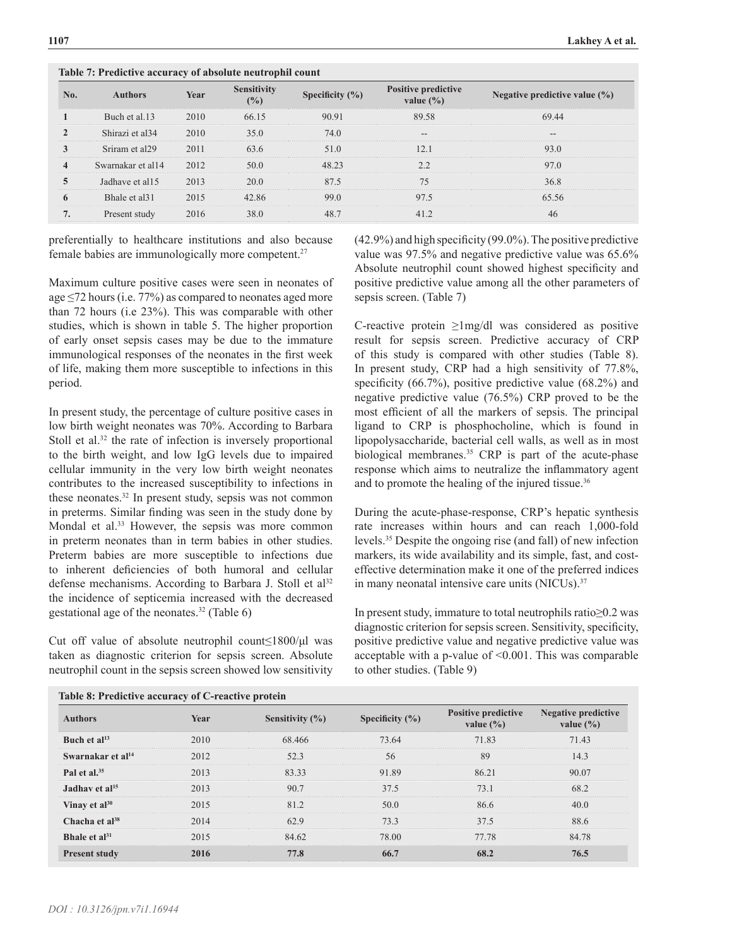|                 | Table 7: Predictive accuracy of absolute neutrophil count |      |                           |                     |                                             |                                   |  |  |
|-----------------|-----------------------------------------------------------|------|---------------------------|---------------------|---------------------------------------------|-----------------------------------|--|--|
| No.             | <b>Authors</b>                                            | Year | <b>Sensitivity</b><br>(%) | Specificity $(\% )$ | <b>Positive predictive</b><br>value $(\% )$ | Negative predictive value $(\% )$ |  |  |
|                 | Buch et al.13                                             | 2010 | 66.15                     | 90.91               | 89.58                                       | 69.44                             |  |  |
|                 | Shirazi et al <sub>34</sub>                               | 2010 | 35.0                      | 74.0                | $- -$                                       | $- -$                             |  |  |
|                 | Sriram et al29                                            | 2011 | 63.6                      | 51.0                | 12.1                                        | 93.0                              |  |  |
| 4               | Swarnakar et al14                                         | 2012 | 50.0                      | 48.23               | 2.2                                         | 97.0                              |  |  |
| 5               | Jadhave et al15                                           | 2013 | 20.0                      | 87.5                | 75                                          | 36.8                              |  |  |
| 6               | Bhale et al.31                                            | 2015 | 42.86                     | 99.0                | 97.5                                        | 65.56                             |  |  |
| $7\phantom{.0}$ | Present study                                             | 2016 | 38.0                      | 48.7                | 41.2                                        | 46                                |  |  |
|                 |                                                           |      |                           |                     |                                             |                                   |  |  |

preferentially to healthcare institutions and also because female babies are immunologically more competent.27

**Table 7: Predictive accuracy of absolute neutrophil count**

Maximum culture positive cases were seen in neonates of age ≤72 hours (i.e. 77%) as compared to neonates aged more than 72 hours (i.e 23%). This was comparable with other studies, which is shown in table 5. The higher proportion of early onset sepsis cases may be due to the immature immunological responses of the neonates in the first week of life, making them more susceptible to infections in this period.

In present study, the percentage of culture positive cases in low birth weight neonates was 70%. According to Barbara Stoll et al.<sup>32</sup> the rate of infection is inversely proportional to the birth weight, and low IgG levels due to impaired cellular immunity in the very low birth weight neonates contributes to the increased susceptibility to infections in these neonates.32 In present study, sepsis was not common in preterms. Similar finding was seen in the study done by Mondal et al.<sup>33</sup> However, the sepsis was more common in preterm neonates than in term babies in other studies. Preterm babies are more susceptible to infections due to inherent deficiencies of both humoral and cellular defense mechanisms. According to Barbara J. Stoll et al<sup>32</sup> the incidence of septicemia increased with the decreased gestational age of the neonates.<sup>32</sup> (Table  $6$ )

Cut off value of absolute neutrophil count≤1800/μl was taken as diagnostic criterion for sepsis screen. Absolute neutrophil count in the sepsis screen showed low sensitivity (42.9%) and high specificity (99.0%). The positive predictive value was 97.5% and negative predictive value was 65.6% Absolute neutrophil count showed highest specificity and positive predictive value among all the other parameters of sepsis screen. (Table 7)

C-reactive protein ≥1mg/dl was considered as positive result for sepsis screen. Predictive accuracy of CRP of this study is compared with other studies (Table 8). In present study, CRP had a high sensitivity of 77.8%, specificity (66.7%), positive predictive value (68.2%) and negative predictive value (76.5%) CRP proved to be the most efficient of all the markers of sepsis. The principal ligand to CRP is phosphocholine, which is found in lipopolysaccharide, bacterial cell walls, as well as in most biological membranes.<sup>35</sup> CRP is part of the acute-phase response which aims to neutralize the inflammatory agent and to promote the healing of the injured tissue.<sup>36</sup>

During the acute-phase-response, CRP's hepatic synthesis rate increases within hours and can reach 1,000-fold levels.35 Despite the ongoing rise (and fall) of new infection markers, its wide availability and its simple, fast, and costeffective determination make it one of the preferred indices in many neonatal intensive care units (NICUs).<sup>37</sup>

In present study, immature to total neutrophils ratio≥0.2 was diagnostic criterion for sepsis screen. Sensitivity, specificity, positive predictive value and negative predictive value was acceptable with a p-value of <0.001. This was comparable to other studies. (Table 9)

| Table 6: Fredictive accuracy of C-reactive protein |      |                     |                     |                                             |                                                                |  |  |
|----------------------------------------------------|------|---------------------|---------------------|---------------------------------------------|----------------------------------------------------------------|--|--|
| <b>Authors</b>                                     | Year | Sensitivity $(\% )$ | Specificity $(\% )$ | <b>Positive predictive</b><br>value $(\% )$ | <b>Negative predictive</b><br>value $\left(\frac{0}{0}\right)$ |  |  |
| Buch et $al13$                                     | 2010 | 68.466              | 73.64               | 71.83                                       | 71.43                                                          |  |  |
| Swarnakar et al <sup>14</sup>                      | 2012 | 52.3                | 56                  | 89                                          | 14.3                                                           |  |  |
| Pal et al. $35$                                    | 2013 | 83.33               | 91.89               | 86.21                                       | 90.07                                                          |  |  |
| Jadhav et al <sup>15</sup>                         | 2013 | 90.7                | 37.5                | 73.1                                        | 68.2                                                           |  |  |
| Vinay et $al^{30}$                                 | 2015 | 81.2                | 50.0                | 86.6                                        | 40.0                                                           |  |  |
| Chacha et al <sup>38</sup>                         | 2014 | 62.9                | 73.3                | 37.5                                        | 88.6                                                           |  |  |
| Bhale et $al31$                                    | 2015 | 84.62               | 78.00               | 77.78                                       | 84.78                                                          |  |  |
| <b>Present study</b>                               | 2016 | 77.8                | 66.7                | 68.2                                        | 76.5                                                           |  |  |
|                                                    |      |                     |                     |                                             |                                                                |  |  |

**Table 8: Predictive accuracy of C-reactive protein**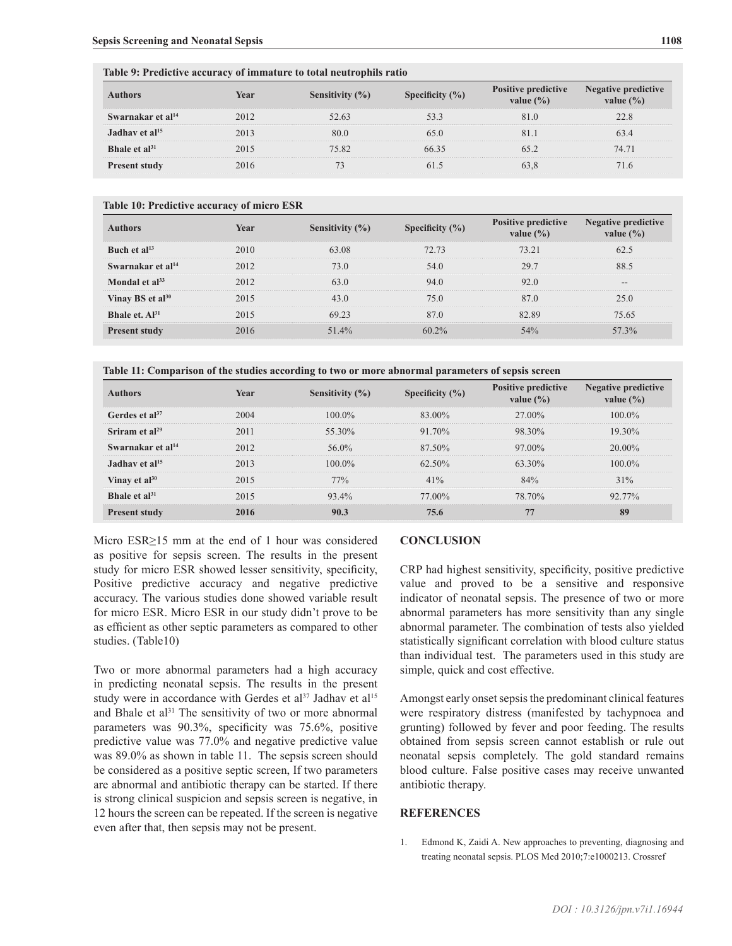| Table 9: Predictive accuracy of immature to total neutrophils ratio |      |                     |                     |                                             |                                             |  |  |
|---------------------------------------------------------------------|------|---------------------|---------------------|---------------------------------------------|---------------------------------------------|--|--|
| Authors                                                             | Year | Sensitivity $(\% )$ | Specificity $(\% )$ | <b>Positive predictive</b><br>value $(\% )$ | <b>Negative predictive</b><br>value $(\% )$ |  |  |
| Swarnakar et al <sup>14</sup>                                       | 2012 | 52.63               |                     | 810                                         | 22.8                                        |  |  |
| Jadhav et $al15$                                                    | 2013 | 80 O                | 65 O                |                                             | 634                                         |  |  |
| Bhale et $al^{31}$                                                  | 2015 | 75.82               | 6635                | 652                                         | 74.71                                       |  |  |
| <b>Present study</b>                                                |      |                     |                     |                                             |                                             |  |  |

#### **Table 10: Predictive accuracy of micro ESR**

| <b>Authors</b>                | Year | Sensitivity $(\% )$ | Specificity $(\% )$ | <b>Positive predictive</b><br>value $(\% )$ | Negative predictive<br>value $(\% )$ |
|-------------------------------|------|---------------------|---------------------|---------------------------------------------|--------------------------------------|
| Buch et $al13$                | 2010 | 63.08               | 72.73               | 73 21                                       | 62 S                                 |
| Swarnakar et al <sup>14</sup> | 2012 | 73 0                | 54 O                | 29.7                                        | 88 5                                 |
| Mondal et $al^{33}$           | 2012 | 63 0                | 94.0                | 92 O                                        |                                      |
| Vinay BS et al <sup>30</sup>  | 2015 | 43 O                | 75 O                | 87 O                                        | 25 O                                 |
| Bhale et. $Al^{31}$           | 2015 | 69 23               | 87 Q                | 82.89                                       | 75.65                                |
| <b>Present study</b>          | 2016 | 51.4%               | $60.2\%$            | $54\%$                                      | 57 $3\%$                             |

**Table 11: Comparison of the studies according to two or more abnormal parameters of sepsis screen**

| <b>Authors</b>             | Year | Sensitivity $(\% )$ | Specificity $(\% )$ | <b>Positive predictive</b><br>value $(\% )$ | <b>Negative predictive</b><br>value $(\% )$ |
|----------------------------|------|---------------------|---------------------|---------------------------------------------|---------------------------------------------|
| Gerdes et al <sup>37</sup> | 2004 | $100.0\%$           | 83.00%              | 27.00%                                      | $100.0\%$                                   |
| Sriram et al <sup>29</sup> | 2011 | 55 30%              | $91.70\%$           | 98 30%                                      | $19.30\%$                                   |
| Swarnakar et al $^{14}$    | 2012 | 56.0%               | $87,50\%$           | $97.00\%$                                   | $2000\%$                                    |
| Jadhay et al <sup>15</sup> | 2013 | $1000\%$            | $62.50\%$           | 63 30%                                      | $100.0\%$                                   |
| Vinay et $al^{30}$         | 2015 | 77%                 | 41%                 | 84%                                         | 31%                                         |
| Bhale et $al^{31}$         | 2015 | $93.4\%$            | 77 00%              | 78 70%                                      | $92.77\%$                                   |
| <b>Present study</b>       | 2016 | 90.3                | 75.6                | 77                                          | 89                                          |

Micro ESR>15 mm at the end of 1 hour was considered as positive for sepsis screen. The results in the present study for micro ESR showed lesser sensitivity, specificity, Positive predictive accuracy and negative predictive accuracy. The various studies done showed variable result for micro ESR. Micro ESR in our study didn't prove to be as efficient as other septic parameters as compared to other studies. (Table10)

Two or more abnormal parameters had a high accuracy in predicting neonatal sepsis. The results in the present study were in accordance with Gerdes et al<sup>37</sup> Jadhav et al<sup>15</sup> and Bhale et al<sup>31</sup> The sensitivity of two or more abnormal parameters was 90.3%, specificity was 75.6%, positive predictive value was 77.0% and negative predictive value was 89.0% as shown in table 11. The sepsis screen should be considered as a positive septic screen, If two parameters are abnormal and antibiotic therapy can be started. If there is strong clinical suspicion and sepsis screen is negative, in 12 hours the screen can be repeated. If the screen is negative even after that, then sepsis may not be present.

#### **CONCLUSION**

CRP had highest sensitivity, specificity, positive predictive value and proved to be a sensitive and responsive indicator of neonatal sepsis. The presence of two or more abnormal parameters has more sensitivity than any single abnormal parameter. The combination of tests also yielded statistically significant correlation with blood culture status than individual test. The parameters used in this study are simple, quick and cost effective.

Amongst early onset sepsis the predominant clinical features were respiratory distress (manifested by tachypnoea and grunting) followed by fever and poor feeding. The results obtained from sepsis screen cannot establish or rule out neonatal sepsis completely. The gold standard remains blood culture. False positive cases may receive unwanted antibiotic therapy.

#### **REFERENCES**

1. Edmond K, Zaidi A. New approaches to preventing, diagnosing and treating neonatal sepsis. PLOS Med 2010;7:e1000213. [Crossref](https://doi.org/10.1371/journal.pmed.1000213)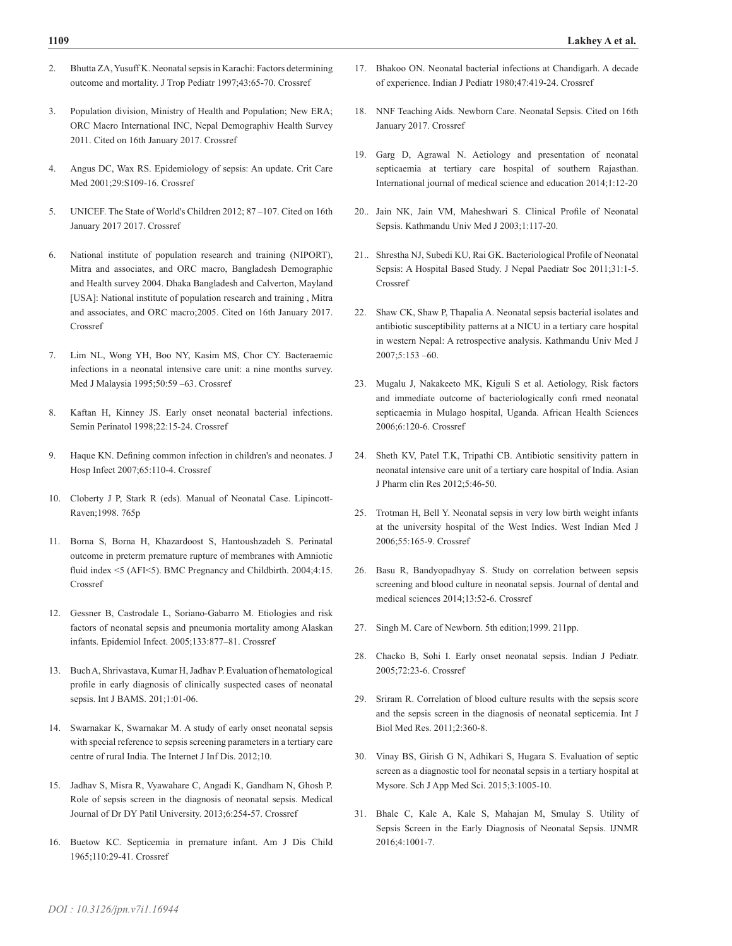- 2. Bhutta ZA, Yusuff K. Neonatal sepsis in Karachi: Factors determining outcome and mortality. J Trop Pediatr 1997;43:65-70. [Crossref](https://doi.org/10.1093/tropej/43.2.65)
- 3. Population division, Ministry of Health and Population; New ERA; ORC Macro International INC, Nepal Demographiv Health Survey 2011. Cited on 16th January 2017. [Crossref](http://dhsprogram.com/pubs/pdf/fr257/fr257%5B13april2012%5D.pdf)
- 4. Angus DC, Wax RS. Epidemiology of sepsis: An update. Crit Care Med 2001;29:S109-16. [Crossref](https://doi.org/10.1097/00003246-200107001-00035)
- 5. UNICEF. The State of World's Children 2012; 87 –107. Cited on 16th January 2017 2017. [Crossref](https://www.unicef.org/sowc2012/pdfs/SOWC%202012-Main%20Report_EN_13Mar2012.pdf)
- 6. National institute of population research and training (NIPORT), Mitra and associates, and ORC macro, Bangladesh Demographic and Health survey 2004. Dhaka Bangladesh and Calverton, Mayland [USA]: National institute of population research and training , Mitra and associates, and ORC macro;2005. Cited on 16th January 2017. [Crossref](https://www.unicef.org/bangladesh/BDHS2007_Final.pdf)
- 7. Lim NL, Wong YH, Boo NY, Kasim MS, Chor CY. Bacteraemic infections in a neonatal intensive care unit: a nine months survey. Med J Malaysia 1995;50:59 –63. [Crossref](PMid:7752978)
- 8. Kaftan H, Kinney JS. Early onset neonatal bacterial infections. Semin Perinatol 1998;22:15-24. [Crossref](https://doi.org/10.1016/S0146-0005(98)80004-9)
- 9. Haque KN. Defining common infection in children's and neonates. J Hosp Infect 2007;65:110-4. [Crossref](https://doi.org/10.1016/S0195-6701(07)60026-7)
- 10. Cloberty J P, Stark R (eds). Manual of Neonatal Case. Lipincott-Raven;1998. 765p
- 11. Borna S, Borna H, Khazardoost S, Hantoushzadeh S. Perinatal outcome in preterm premature rupture of membranes with Amniotic fluid index <5 (AFI<5). BMC Pregnancy and Childbirth. 2004;4:15. [Crossref](https://doi.org/10.1186/1471-2393-4-15)
- 12. Gessner B, Castrodale L, Soriano-Gabarro M. Etiologies and risk factors of neonatal sepsis and pneumonia mortality among Alaskan infants. Epidemiol Infect. 2005;133:877–81. [Crossref](https://doi.org/10.1017/S0950268805004449)
- 13. Buch A, Shrivastava, Kumar H, Jadhav P. Evaluation of hematological profile in early diagnosis of clinically suspected cases of neonatal sepsis. Int J BAMS. 201;1:01-06.
- 14. Swarnakar K, Swarnakar M. A study of early onset neonatal sepsis with special reference to sepsis screening parameters in a tertiary care centre of rural India. The Internet J Inf Dis. 2012;10.
- 15. Jadhav S, Misra R, Vyawahare C, Angadi K, Gandham N, Ghosh P. Role of sepsis screen in the diagnosis of neonatal sepsis. Medical Journal of Dr DY Patil University. 2013;6:254-57. [Crossref](https://doi.org/10.4103/0975-2870.114649)
- 16. Buetow KC. Septicemia in premature infant. Am J Dis Child 1965;110:29-41. [Crossref](https://doi.org/10.1001/archpedi.1965.02090030035005)
- 17. Bhakoo ON. Neonatal bacterial infections at Chandigarh. A decade of experience. Indian J Pediatr 1980;47:419-24. [Crossref](https://doi.org/10.1007/BF02759845)
- 18. NNF Teaching Aids. Newborn Care. Neonatal Sepsis. Cited on 16th January 2017. [Crossref](www.newborn.whocc.Org/pdf.)
- 19. Garg D, Agrawal N. Aetiology and presentation of neonatal septicaemia at tertiary care hospital of southern Rajasthan. International journal of medical science and education 2014;1:12-20
- 20.. Jain NK, Jain VM, Maheshwari S. Clinical Profile of Neonatal Sepsis. Kathmandu Univ Med J 2003;1:117-20.
- 21.. Shrestha NJ, Subedi KU, Rai GK. Bacteriological Profile of Neonatal Sepsis: A Hospital Based Study. J Nepal Paediatr Soc 2011;31:1-5. [Crossref](https://doi.org/10.3126/jnps.v31i1.4158)
- 22. Shaw CK, Shaw P, Thapalia A. Neonatal sepsis bacterial isolates and antibiotic susceptibility patterns at a NICU in a tertiary care hospital in western Nepal: A retrospective analysis. Kathmandu Univ Med J 2007;5:153 –60.
- 23. Mugalu J, Nakakeeto MK, Kiguli S et al. Aetiology, Risk factors and immediate outcome of bacteriologically confi rmed neonatal septicaemia in Mulago hospital, Uganda. African Health Sciences 2006;6:120-6. [Crossref](PMid:16916305)
- 24. Sheth KV, Patel T.K, Tripathi CB. Antibiotic sensitivity pattern in neonatal intensive care unit of a tertiary care hospital of India. Asian J Pharm clin Res 2012;5:46-50.
- 25. Trotman H, Bell Y. Neonatal sepsis in very low birth weight infants at the university hospital of the West Indies. West Indian Med J 2006;55:165-9. [Crossref](https://doi.org/10.1590/S0043-31442006000300007)
- 26. Basu R, Bandyopadhyay S. Study on correlation between sepsis screening and blood culture in neonatal sepsis. Journal of dental and medical sciences 2014;13:52-6. [Crossref](https://doi.org/10.9790/0853-13555256)
- 27. Singh M. Care of Newborn. 5th edition;1999. 211pp.
- 28. Chacko B, Sohi I. Early onset neonatal sepsis. Indian J Pediatr. 2005;72:23-6. [Crossref](https://doi.org/10.1007/BF02760574)
- 29. Sriram R. Correlation of blood culture results with the sepsis score and the sepsis screen in the diagnosis of neonatal septicemia. Int J Biol Med Res. 2011;2:360-8.
- 30. Vinay BS, Girish G N, Adhikari S, Hugara S. Evaluation of septic screen as a diagnostic tool for neonatal sepsis in a tertiary hospital at Mysore. Sch J App Med Sci. 2015;3:1005-10.
- 31. Bhale C, Kale A, Kale S, Mahajan M, Smulay S. Utility of Sepsis Screen in the Early Diagnosis of Neonatal Sepsis. IJNMR 2016;4:1001-7.